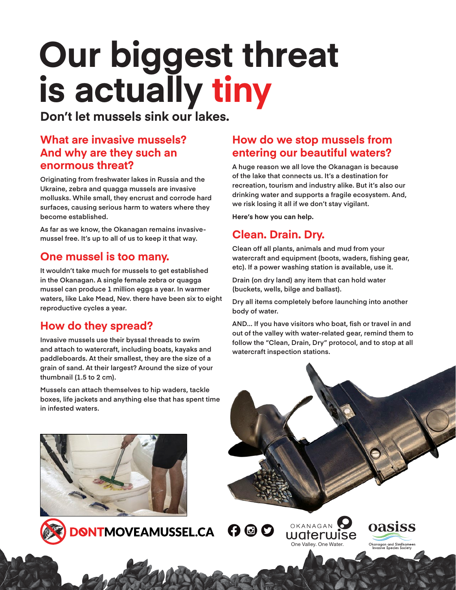# **Our biggest threat is actually tiny**

**Don't let mussels sink our lakes.** 

#### **What are invasive mussels? And why are they such an enormous threat?**

**Originating from freshwater lakes in Russia and the Ukraine, zebra and quagga mussels are invasive mollusks. While small, they encrust and corrode hard surfaces, causing serious harm to waters where they become established.** 

**As far as we know, the Okanagan remains invasivemussel free. It's up to all of us to keep it that way.** 

#### **One mussel is too many.**

**It wouldn't take much for mussels to get established in the Okanagan. A single female zebra or quagga mussel can produce 1 million eggs a year. In warmer waters, like Lake Mead, Nev. there have been six to eight reproductive cycles a year.** 

#### **How do they spread?**

**Invasive mussels use their byssal threads to swim and attach to watercraft, including boats, kayaks and paddleboards. At their smallest, they are the size of a grain of sand. At their largest? Around the size of your thumbnail (1.5 to 2 cm).** 

**Mussels can attach themselves to hip waders, tackle boxes, life jackets and anything else that has spent time in infested waters.** 

#### **How do we stop mussels from entering our beautiful waters?**

**A huge reason we all love the Okanagan is because of the lake that connects us. It's a destination for recreation, tourism and industry alike. But it's also our drinking water and supports a fragile ecosystem. And, we risk losing it all if we don't stay vigilant.**

**Here's how you can help.** 

## **Clean. Drain. Dry.**

**Clean off all plants, animals and mud from your watercraft and equipment (boots, waders, fishing gear, etc). If a power washing station is available, use it.**

**Drain (on dry land) any item that can hold water (buckets, wells, bilge and ballast).**

**Dry all items completely before launching into another body of water.**

**AND... If you have visitors who boat, fish or travel in and out of the valley with water-related gear, remind them to follow the "Clean, Drain, Dry" protocol, and to stop at all watercraft inspection stations.**

[One Valley. One Water.](https://okwaterwise.ca/)

OKANAGAN

waterwise

 $O$  ©  $O$ 

oasiss

Okanagan and Similkamee<br>Invasive Species Society





**DONTMOVEAMUSSEL.CA**